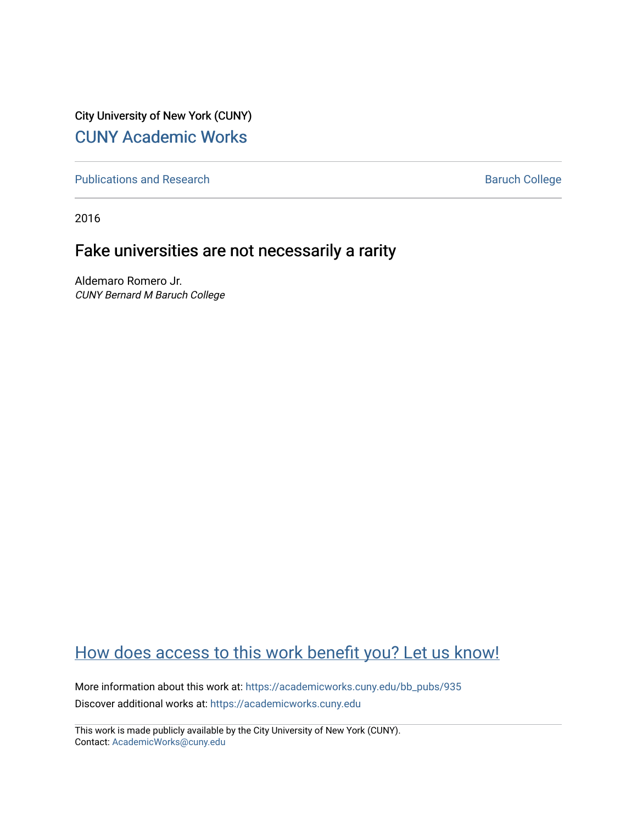City University of New York (CUNY) [CUNY Academic Works](https://academicworks.cuny.edu/) 

[Publications and Research](https://academicworks.cuny.edu/bb_pubs) **Baruch College** Baruch College

2016

### Fake universities are not necessarily a rarity

Aldemaro Romero Jr. CUNY Bernard M Baruch College

#### [How does access to this work benefit you? Let us know!](http://ols.cuny.edu/academicworks/?ref=https://academicworks.cuny.edu/bb_pubs/935)

More information about this work at: [https://academicworks.cuny.edu/bb\\_pubs/935](https://academicworks.cuny.edu/bb_pubs/935)  Discover additional works at: [https://academicworks.cuny.edu](https://academicworks.cuny.edu/?)

This work is made publicly available by the City University of New York (CUNY). Contact: [AcademicWorks@cuny.edu](mailto:AcademicWorks@cuny.edu)